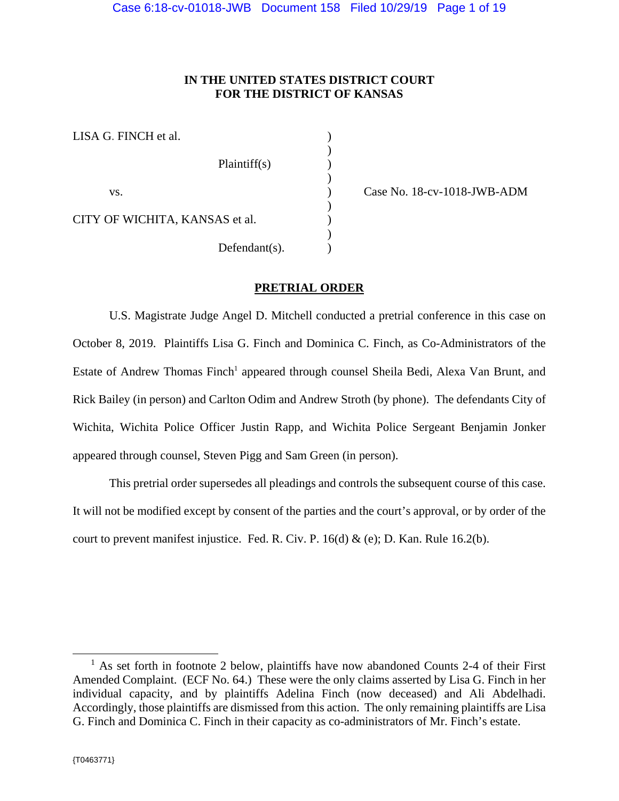# **IN THE UNITED STATES DISTRICT COURT FOR THE DISTRICT OF KANSAS**

| LISA G. FINCH et al.           |                  |  |
|--------------------------------|------------------|--|
|                                | Plaintiff(s)     |  |
| VS.                            |                  |  |
| CITY OF WICHITA, KANSAS et al. |                  |  |
|                                | $Defendant(s)$ . |  |

) Case No. 18-cv-1018-JWB-ADM

### **PRETRIAL ORDER**

U.S. Magistrate Judge Angel D. Mitchell conducted a pretrial conference in this case on October 8, 2019. Plaintiffs Lisa G. Finch and Dominica C. Finch, as Co-Administrators of the Estate of Andrew Thomas Finch<sup>1</sup> appeared through counsel Sheila Bedi, Alexa Van Brunt, and Rick Bailey (in person) and Carlton Odim and Andrew Stroth (by phone). The defendants City of Wichita, Wichita Police Officer Justin Rapp, and Wichita Police Sergeant Benjamin Jonker appeared through counsel, Steven Pigg and Sam Green (in person).

This pretrial order supersedes all pleadings and controls the subsequent course of this case. It will not be modified except by consent of the parties and the court's approval, or by order of the court to prevent manifest injustice. Fed. R. Civ. P.  $16(d) &$  (e); D. Kan. Rule 16.2(b).

l

<sup>&</sup>lt;sup>1</sup> As set forth in footnote 2 below, plaintiffs have now abandoned Counts 2-4 of their First Amended Complaint. (ECF No. 64.) These were the only claims asserted by Lisa G. Finch in her individual capacity, and by plaintiffs Adelina Finch (now deceased) and Ali Abdelhadi. Accordingly, those plaintiffs are dismissed from this action. The only remaining plaintiffs are Lisa G. Finch and Dominica C. Finch in their capacity as co-administrators of Mr. Finch's estate.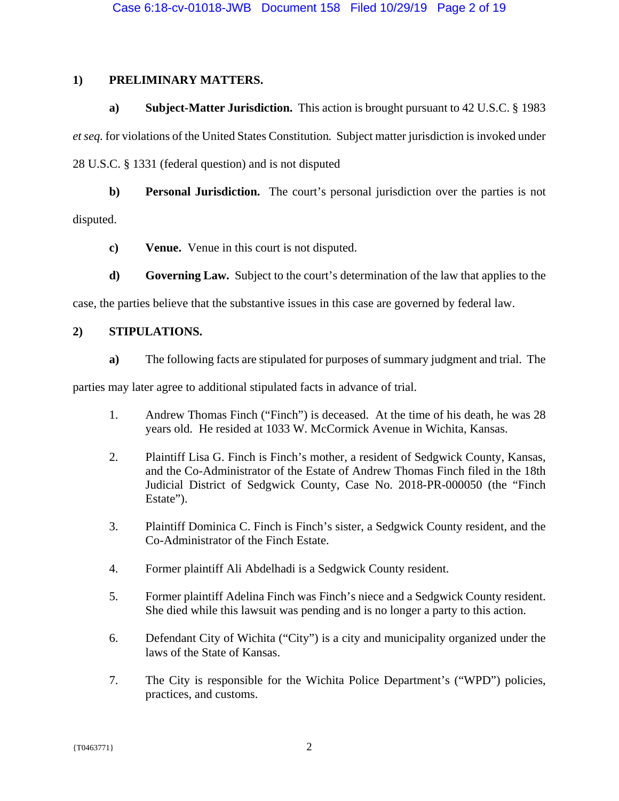# **1) PRELIMINARY MATTERS.**

# **a) Subject-Matter Jurisdiction.** This action is brought pursuant to 42 U.S.C. § 1983

*et seq.* for violations of the United States Constitution*.* Subject matter jurisdiction is invoked under 28 U.S.C. § 1331 (federal question) and is not disputed

**b) Personal Jurisdiction.** The court's personal jurisdiction over the parties is not

disputed.

- **c) Venue.** Venue in this court is not disputed.
- **d) Governing Law.** Subject to the court's determination of the law that applies to the

case, the parties believe that the substantive issues in this case are governed by federal law.

# **2) STIPULATIONS.**

**a)** The following facts are stipulated for purposes of summary judgment and trial. The

parties may later agree to additional stipulated facts in advance of trial.

- 1. Andrew Thomas Finch ("Finch") is deceased. At the time of his death, he was 28 years old. He resided at 1033 W. McCormick Avenue in Wichita, Kansas.
- 2. Plaintiff Lisa G. Finch is Finch's mother, a resident of Sedgwick County, Kansas, and the Co-Administrator of the Estate of Andrew Thomas Finch filed in the 18th Judicial District of Sedgwick County, Case No. 2018-PR-000050 (the "Finch Estate").
- 3. Plaintiff Dominica C. Finch is Finch's sister, a Sedgwick County resident, and the Co-Administrator of the Finch Estate.
- 4. Former plaintiff Ali Abdelhadi is a Sedgwick County resident.
- 5. Former plaintiff Adelina Finch was Finch's niece and a Sedgwick County resident. She died while this lawsuit was pending and is no longer a party to this action.
- 6. Defendant City of Wichita ("City") is a city and municipality organized under the laws of the State of Kansas.
- 7. The City is responsible for the Wichita Police Department's ("WPD") policies, practices, and customs.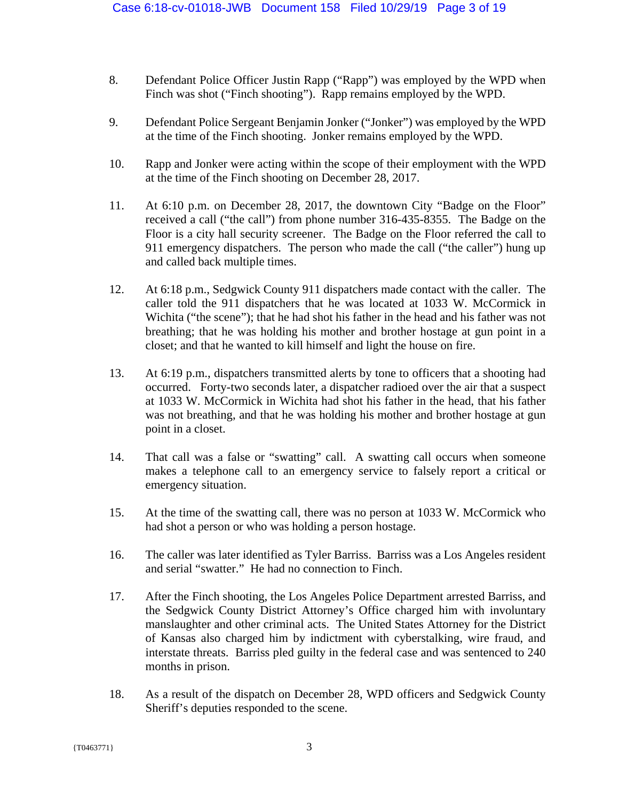- 8. Defendant Police Officer Justin Rapp ("Rapp") was employed by the WPD when Finch was shot ("Finch shooting"). Rapp remains employed by the WPD.
- 9. Defendant Police Sergeant Benjamin Jonker ("Jonker") was employed by the WPD at the time of the Finch shooting. Jonker remains employed by the WPD.
- 10. Rapp and Jonker were acting within the scope of their employment with the WPD at the time of the Finch shooting on December 28, 2017.
- 11. At 6:10 p.m. on December 28, 2017, the downtown City "Badge on the Floor" received a call ("the call") from phone number 316-435-8355. The Badge on the Floor is a city hall security screener. The Badge on the Floor referred the call to 911 emergency dispatchers. The person who made the call ("the caller") hung up and called back multiple times.
- 12. At 6:18 p.m., Sedgwick County 911 dispatchers made contact with the caller. The caller told the 911 dispatchers that he was located at 1033 W. McCormick in Wichita ("the scene"); that he had shot his father in the head and his father was not breathing; that he was holding his mother and brother hostage at gun point in a closet; and that he wanted to kill himself and light the house on fire.
- 13. At 6:19 p.m., dispatchers transmitted alerts by tone to officers that a shooting had occurred. Forty-two seconds later, a dispatcher radioed over the air that a suspect at 1033 W. McCormick in Wichita had shot his father in the head, that his father was not breathing, and that he was holding his mother and brother hostage at gun point in a closet.
- 14. That call was a false or "swatting" call. A swatting call occurs when someone makes a telephone call to an emergency service to falsely report a critical or emergency situation.
- 15. At the time of the swatting call, there was no person at 1033 W. McCormick who had shot a person or who was holding a person hostage.
- 16. The caller was later identified as Tyler Barriss. Barriss was a Los Angeles resident and serial "swatter." He had no connection to Finch.
- 17. After the Finch shooting, the Los Angeles Police Department arrested Barriss, and the Sedgwick County District Attorney's Office charged him with involuntary manslaughter and other criminal acts. The United States Attorney for the District of Kansas also charged him by indictment with cyberstalking, wire fraud, and interstate threats. Barriss pled guilty in the federal case and was sentenced to 240 months in prison.
- 18. As a result of the dispatch on December 28, WPD officers and Sedgwick County Sheriff's deputies responded to the scene.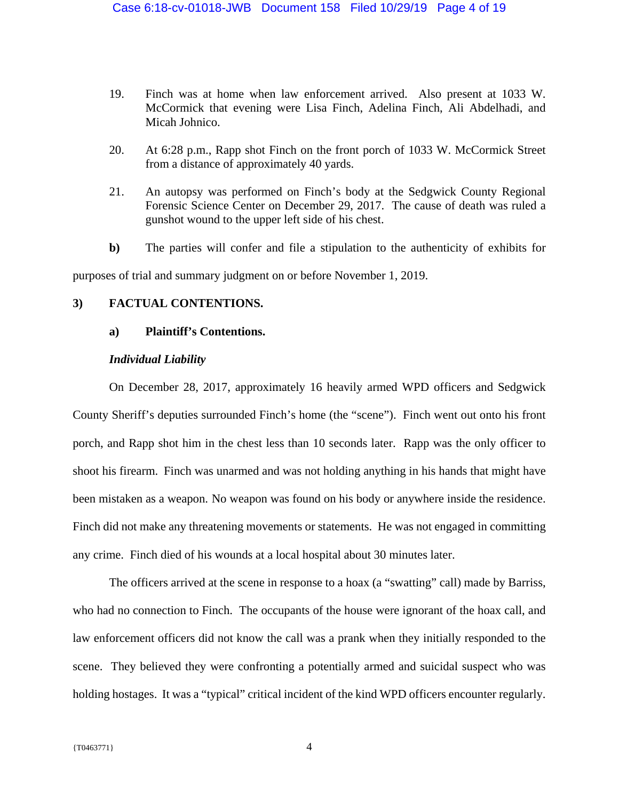- 19. Finch was at home when law enforcement arrived. Also present at 1033 W. McCormick that evening were Lisa Finch, Adelina Finch, Ali Abdelhadi, and Micah Johnico.
- 20. At 6:28 p.m., Rapp shot Finch on the front porch of 1033 W. McCormick Street from a distance of approximately 40 yards.
- 21. An autopsy was performed on Finch's body at the Sedgwick County Regional Forensic Science Center on December 29, 2017. The cause of death was ruled a gunshot wound to the upper left side of his chest.
- **b)** The parties will confer and file a stipulation to the authenticity of exhibits for purposes of trial and summary judgment on or before November 1, 2019.

### **3) FACTUAL CONTENTIONS.**

### **a) Plaintiff's Contentions.**

### *Individual Liability*

On December 28, 2017, approximately 16 heavily armed WPD officers and Sedgwick County Sheriff's deputies surrounded Finch's home (the "scene"). Finch went out onto his front porch, and Rapp shot him in the chest less than 10 seconds later. Rapp was the only officer to shoot his firearm. Finch was unarmed and was not holding anything in his hands that might have been mistaken as a weapon. No weapon was found on his body or anywhere inside the residence. Finch did not make any threatening movements or statements. He was not engaged in committing any crime. Finch died of his wounds at a local hospital about 30 minutes later.

The officers arrived at the scene in response to a hoax (a "swatting" call) made by Barriss, who had no connection to Finch. The occupants of the house were ignorant of the hoax call, and law enforcement officers did not know the call was a prank when they initially responded to the scene. They believed they were confronting a potentially armed and suicidal suspect who was holding hostages. It was a "typical" critical incident of the kind WPD officers encounter regularly.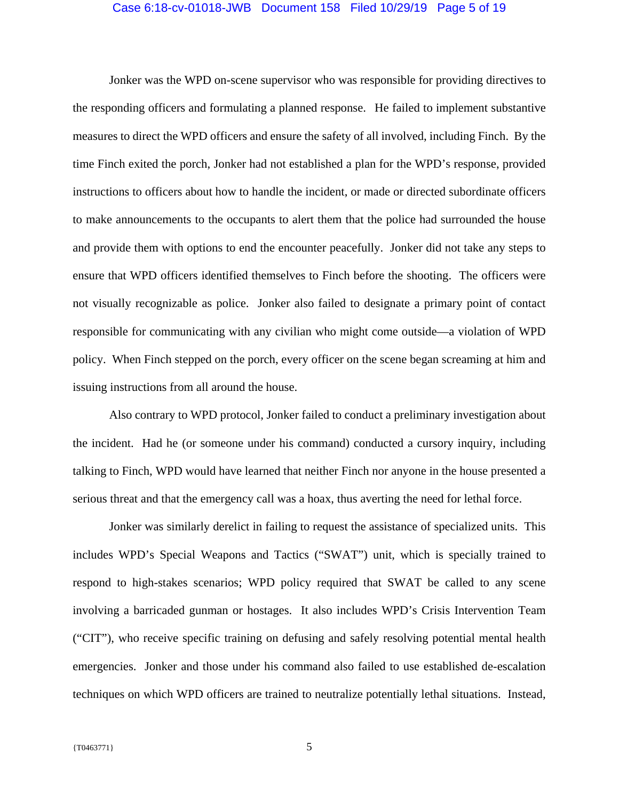#### Case 6:18-cv-01018-JWB Document 158 Filed 10/29/19 Page 5 of 19

Jonker was the WPD on-scene supervisor who was responsible for providing directives to the responding officers and formulating a planned response. He failed to implement substantive measures to direct the WPD officers and ensure the safety of all involved, including Finch. By the time Finch exited the porch, Jonker had not established a plan for the WPD's response, provided instructions to officers about how to handle the incident, or made or directed subordinate officers to make announcements to the occupants to alert them that the police had surrounded the house and provide them with options to end the encounter peacefully. Jonker did not take any steps to ensure that WPD officers identified themselves to Finch before the shooting. The officers were not visually recognizable as police. Jonker also failed to designate a primary point of contact responsible for communicating with any civilian who might come outside—a violation of WPD policy. When Finch stepped on the porch, every officer on the scene began screaming at him and issuing instructions from all around the house.

Also contrary to WPD protocol, Jonker failed to conduct a preliminary investigation about the incident. Had he (or someone under his command) conducted a cursory inquiry, including talking to Finch, WPD would have learned that neither Finch nor anyone in the house presented a serious threat and that the emergency call was a hoax, thus averting the need for lethal force.

Jonker was similarly derelict in failing to request the assistance of specialized units. This includes WPD's Special Weapons and Tactics ("SWAT") unit, which is specially trained to respond to high-stakes scenarios; WPD policy required that SWAT be called to any scene involving a barricaded gunman or hostages. It also includes WPD's Crisis Intervention Team ("CIT"), who receive specific training on defusing and safely resolving potential mental health emergencies. Jonker and those under his command also failed to use established de-escalation techniques on which WPD officers are trained to neutralize potentially lethal situations. Instead,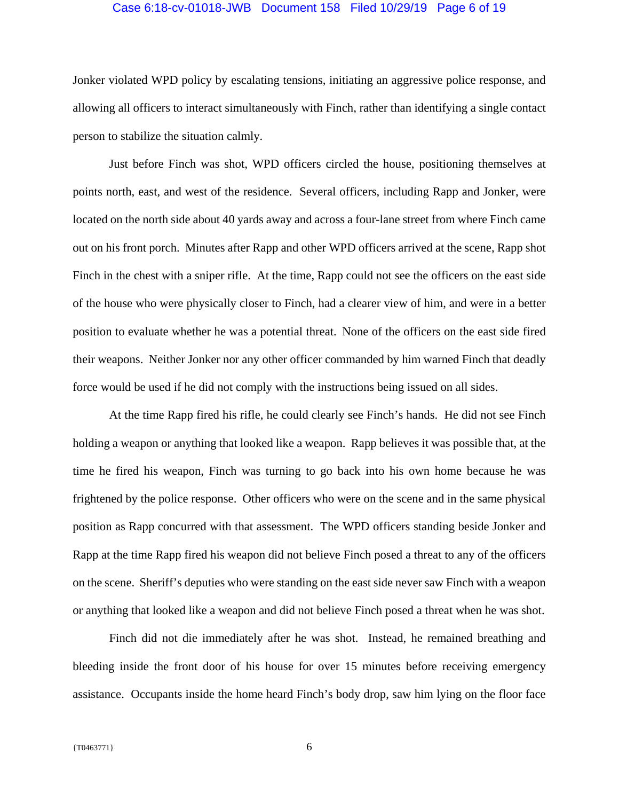#### Case 6:18-cv-01018-JWB Document 158 Filed 10/29/19 Page 6 of 19

Jonker violated WPD policy by escalating tensions, initiating an aggressive police response, and allowing all officers to interact simultaneously with Finch, rather than identifying a single contact person to stabilize the situation calmly.

 Just before Finch was shot, WPD officers circled the house, positioning themselves at points north, east, and west of the residence. Several officers, including Rapp and Jonker, were located on the north side about 40 yards away and across a four-lane street from where Finch came out on his front porch. Minutes after Rapp and other WPD officers arrived at the scene, Rapp shot Finch in the chest with a sniper rifle. At the time, Rapp could not see the officers on the east side of the house who were physically closer to Finch, had a clearer view of him, and were in a better position to evaluate whether he was a potential threat. None of the officers on the east side fired their weapons. Neither Jonker nor any other officer commanded by him warned Finch that deadly force would be used if he did not comply with the instructions being issued on all sides.

At the time Rapp fired his rifle, he could clearly see Finch's hands. He did not see Finch holding a weapon or anything that looked like a weapon. Rapp believes it was possible that, at the time he fired his weapon, Finch was turning to go back into his own home because he was frightened by the police response. Other officers who were on the scene and in the same physical position as Rapp concurred with that assessment. The WPD officers standing beside Jonker and Rapp at the time Rapp fired his weapon did not believe Finch posed a threat to any of the officers on the scene. Sheriff's deputies who were standing on the east side never saw Finch with a weapon or anything that looked like a weapon and did not believe Finch posed a threat when he was shot.

Finch did not die immediately after he was shot. Instead, he remained breathing and bleeding inside the front door of his house for over 15 minutes before receiving emergency assistance. Occupants inside the home heard Finch's body drop, saw him lying on the floor face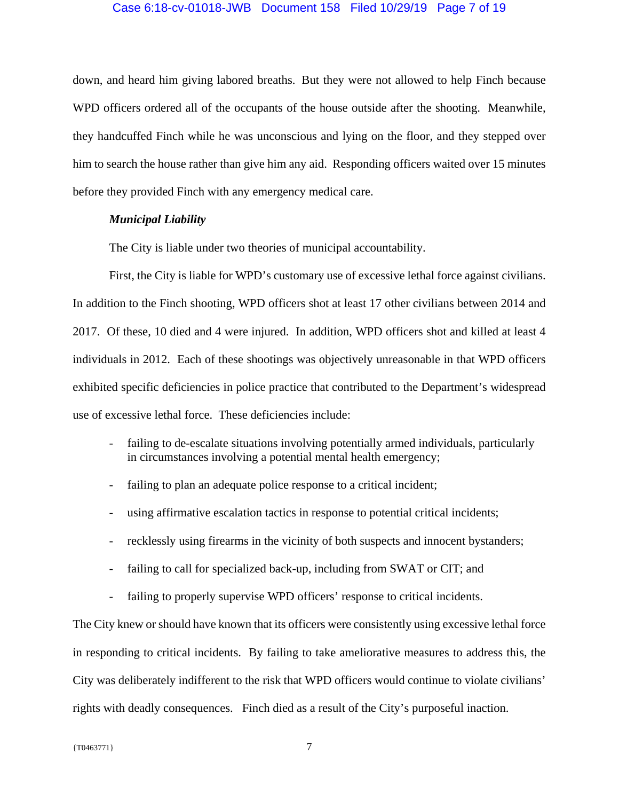### Case 6:18-cv-01018-JWB Document 158 Filed 10/29/19 Page 7 of 19

down, and heard him giving labored breaths. But they were not allowed to help Finch because WPD officers ordered all of the occupants of the house outside after the shooting. Meanwhile, they handcuffed Finch while he was unconscious and lying on the floor, and they stepped over him to search the house rather than give him any aid. Responding officers waited over 15 minutes before they provided Finch with any emergency medical care.

### *Municipal Liability*

The City is liable under two theories of municipal accountability.

First, the City is liable for WPD's customary use of excessive lethal force against civilians. In addition to the Finch shooting, WPD officers shot at least 17 other civilians between 2014 and 2017. Of these, 10 died and 4 were injured. In addition, WPD officers shot and killed at least 4 individuals in 2012. Each of these shootings was objectively unreasonable in that WPD officers exhibited specific deficiencies in police practice that contributed to the Department's widespread use of excessive lethal force. These deficiencies include:

- failing to de-escalate situations involving potentially armed individuals, particularly in circumstances involving a potential mental health emergency;
- failing to plan an adequate police response to a critical incident;
- using affirmative escalation tactics in response to potential critical incidents;
- recklessly using firearms in the vicinity of both suspects and innocent bystanders;
- failing to call for specialized back-up, including from SWAT or CIT; and
- failing to properly supervise WPD officers' response to critical incidents.

The City knew or should have known that its officers were consistently using excessive lethal force in responding to critical incidents. By failing to take ameliorative measures to address this, the City was deliberately indifferent to the risk that WPD officers would continue to violate civilians' rights with deadly consequences. Finch died as a result of the City's purposeful inaction.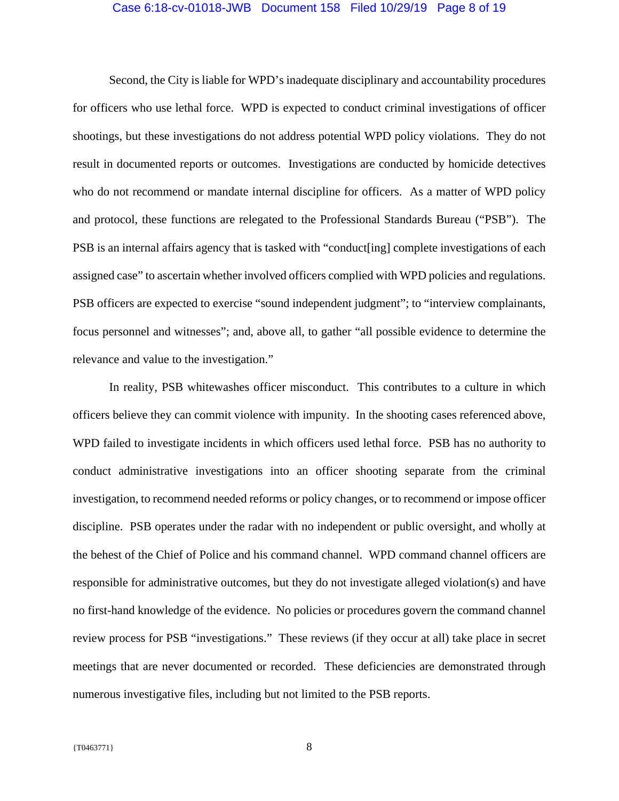#### Case 6:18-cv-01018-JWB Document 158 Filed 10/29/19 Page 8 of 19

Second, the City is liable for WPD's inadequate disciplinary and accountability procedures for officers who use lethal force. WPD is expected to conduct criminal investigations of officer shootings, but these investigations do not address potential WPD policy violations. They do not result in documented reports or outcomes. Investigations are conducted by homicide detectives who do not recommend or mandate internal discipline for officers. As a matter of WPD policy and protocol, these functions are relegated to the Professional Standards Bureau ("PSB"). The PSB is an internal affairs agency that is tasked with "conduct[ing] complete investigations of each assigned case" to ascertain whether involved officers complied with WPD policies and regulations. PSB officers are expected to exercise "sound independent judgment"; to "interview complainants, focus personnel and witnesses"; and, above all, to gather "all possible evidence to determine the relevance and value to the investigation."

In reality, PSB whitewashes officer misconduct. This contributes to a culture in which officers believe they can commit violence with impunity. In the shooting cases referenced above, WPD failed to investigate incidents in which officers used lethal force. PSB has no authority to conduct administrative investigations into an officer shooting separate from the criminal investigation, to recommend needed reforms or policy changes, or to recommend or impose officer discipline. PSB operates under the radar with no independent or public oversight, and wholly at the behest of the Chief of Police and his command channel. WPD command channel officers are responsible for administrative outcomes, but they do not investigate alleged violation(s) and have no first-hand knowledge of the evidence. No policies or procedures govern the command channel review process for PSB "investigations." These reviews (if they occur at all) take place in secret meetings that are never documented or recorded. These deficiencies are demonstrated through numerous investigative files, including but not limited to the PSB reports.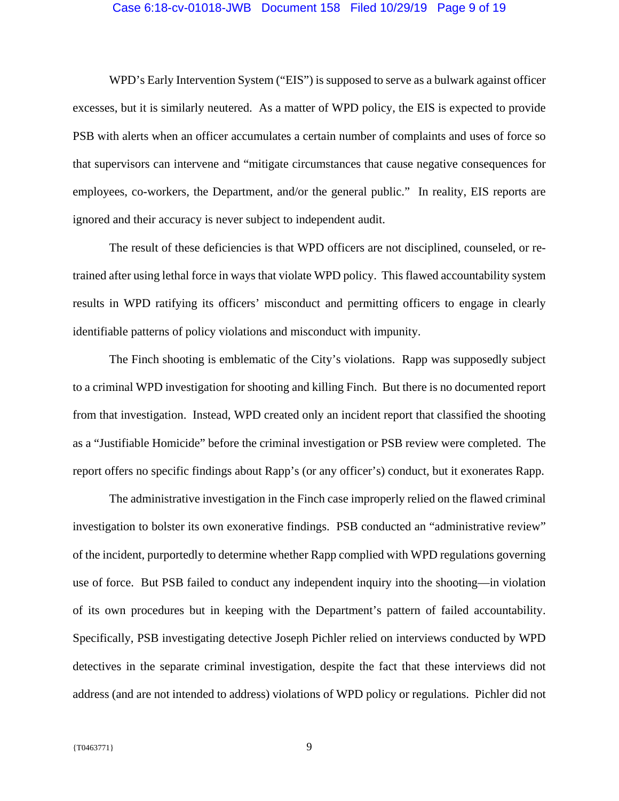#### Case 6:18-cv-01018-JWB Document 158 Filed 10/29/19 Page 9 of 19

WPD's Early Intervention System ("EIS") is supposed to serve as a bulwark against officer excesses, but it is similarly neutered. As a matter of WPD policy, the EIS is expected to provide PSB with alerts when an officer accumulates a certain number of complaints and uses of force so that supervisors can intervene and "mitigate circumstances that cause negative consequences for employees, co-workers, the Department, and/or the general public." In reality, EIS reports are ignored and their accuracy is never subject to independent audit.

The result of these deficiencies is that WPD officers are not disciplined, counseled, or retrained after using lethal force in ways that violate WPD policy. This flawed accountability system results in WPD ratifying its officers' misconduct and permitting officers to engage in clearly identifiable patterns of policy violations and misconduct with impunity.

The Finch shooting is emblematic of the City's violations. Rapp was supposedly subject to a criminal WPD investigation for shooting and killing Finch. But there is no documented report from that investigation. Instead, WPD created only an incident report that classified the shooting as a "Justifiable Homicide" before the criminal investigation or PSB review were completed. The report offers no specific findings about Rapp's (or any officer's) conduct, but it exonerates Rapp.

The administrative investigation in the Finch case improperly relied on the flawed criminal investigation to bolster its own exonerative findings. PSB conducted an "administrative review" of the incident, purportedly to determine whether Rapp complied with WPD regulations governing use of force. But PSB failed to conduct any independent inquiry into the shooting—in violation of its own procedures but in keeping with the Department's pattern of failed accountability. Specifically, PSB investigating detective Joseph Pichler relied on interviews conducted by WPD detectives in the separate criminal investigation, despite the fact that these interviews did not address (and are not intended to address) violations of WPD policy or regulations. Pichler did not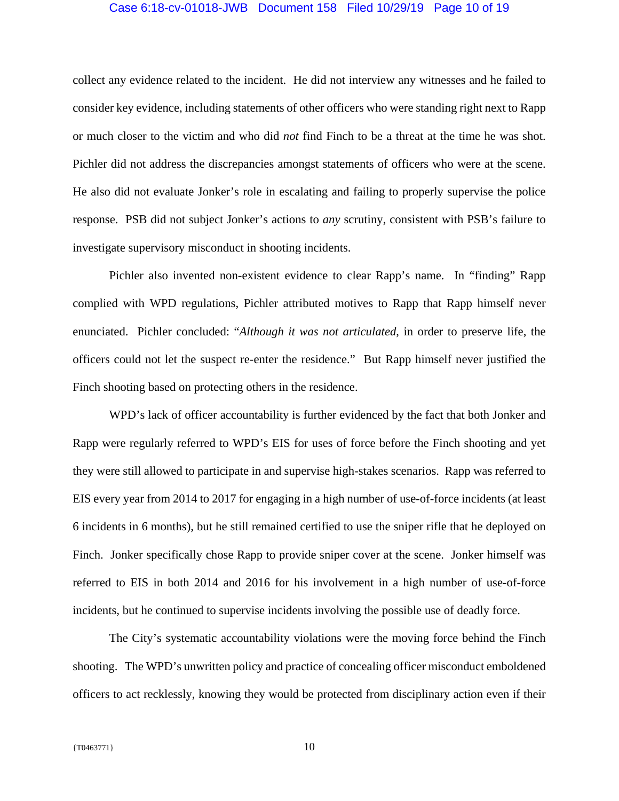### Case 6:18-cv-01018-JWB Document 158 Filed 10/29/19 Page 10 of 19

collect any evidence related to the incident. He did not interview any witnesses and he failed to consider key evidence, including statements of other officers who were standing right next to Rapp or much closer to the victim and who did *not* find Finch to be a threat at the time he was shot. Pichler did not address the discrepancies amongst statements of officers who were at the scene. He also did not evaluate Jonker's role in escalating and failing to properly supervise the police response. PSB did not subject Jonker's actions to *any* scrutiny, consistent with PSB's failure to investigate supervisory misconduct in shooting incidents.

Pichler also invented non-existent evidence to clear Rapp's name. In "finding" Rapp complied with WPD regulations, Pichler attributed motives to Rapp that Rapp himself never enunciated. Pichler concluded: "*Although it was not articulated*, in order to preserve life, the officers could not let the suspect re-enter the residence." But Rapp himself never justified the Finch shooting based on protecting others in the residence.

WPD's lack of officer accountability is further evidenced by the fact that both Jonker and Rapp were regularly referred to WPD's EIS for uses of force before the Finch shooting and yet they were still allowed to participate in and supervise high-stakes scenarios. Rapp was referred to EIS every year from 2014 to 2017 for engaging in a high number of use-of-force incidents (at least 6 incidents in 6 months), but he still remained certified to use the sniper rifle that he deployed on Finch. Jonker specifically chose Rapp to provide sniper cover at the scene. Jonker himself was referred to EIS in both 2014 and 2016 for his involvement in a high number of use-of-force incidents, but he continued to supervise incidents involving the possible use of deadly force.

The City's systematic accountability violations were the moving force behind the Finch shooting. The WPD's unwritten policy and practice of concealing officer misconduct emboldened officers to act recklessly, knowing they would be protected from disciplinary action even if their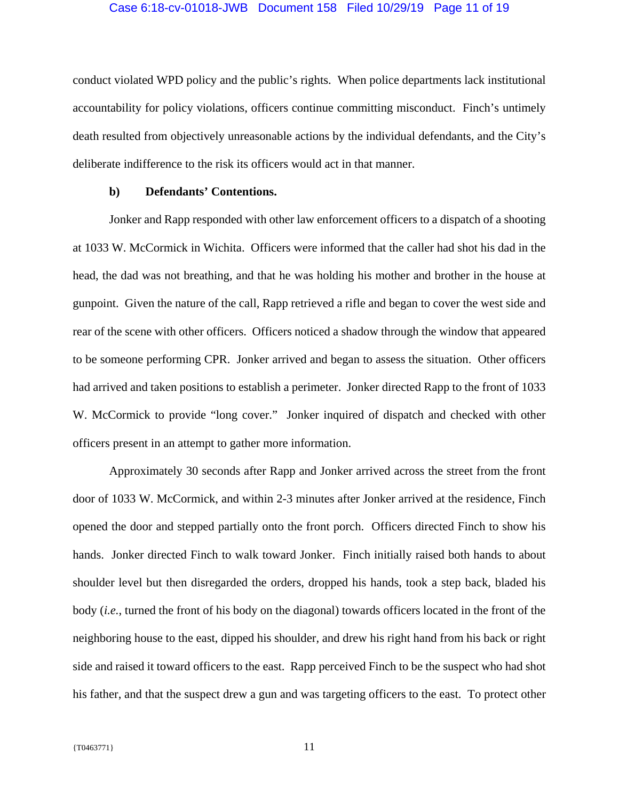conduct violated WPD policy and the public's rights. When police departments lack institutional accountability for policy violations, officers continue committing misconduct. Finch's untimely death resulted from objectively unreasonable actions by the individual defendants, and the City's deliberate indifference to the risk its officers would act in that manner.

### **b) Defendants' Contentions.**

 Jonker and Rapp responded with other law enforcement officers to a dispatch of a shooting at 1033 W. McCormick in Wichita. Officers were informed that the caller had shot his dad in the head, the dad was not breathing, and that he was holding his mother and brother in the house at gunpoint. Given the nature of the call, Rapp retrieved a rifle and began to cover the west side and rear of the scene with other officers. Officers noticed a shadow through the window that appeared to be someone performing CPR. Jonker arrived and began to assess the situation. Other officers had arrived and taken positions to establish a perimeter. Jonker directed Rapp to the front of 1033 W. McCormick to provide "long cover." Jonker inquired of dispatch and checked with other officers present in an attempt to gather more information.

 Approximately 30 seconds after Rapp and Jonker arrived across the street from the front door of 1033 W. McCormick, and within 2-3 minutes after Jonker arrived at the residence, Finch opened the door and stepped partially onto the front porch. Officers directed Finch to show his hands. Jonker directed Finch to walk toward Jonker. Finch initially raised both hands to about shoulder level but then disregarded the orders, dropped his hands, took a step back, bladed his body (*i.e.*, turned the front of his body on the diagonal) towards officers located in the front of the neighboring house to the east, dipped his shoulder, and drew his right hand from his back or right side and raised it toward officers to the east. Rapp perceived Finch to be the suspect who had shot his father, and that the suspect drew a gun and was targeting officers to the east. To protect other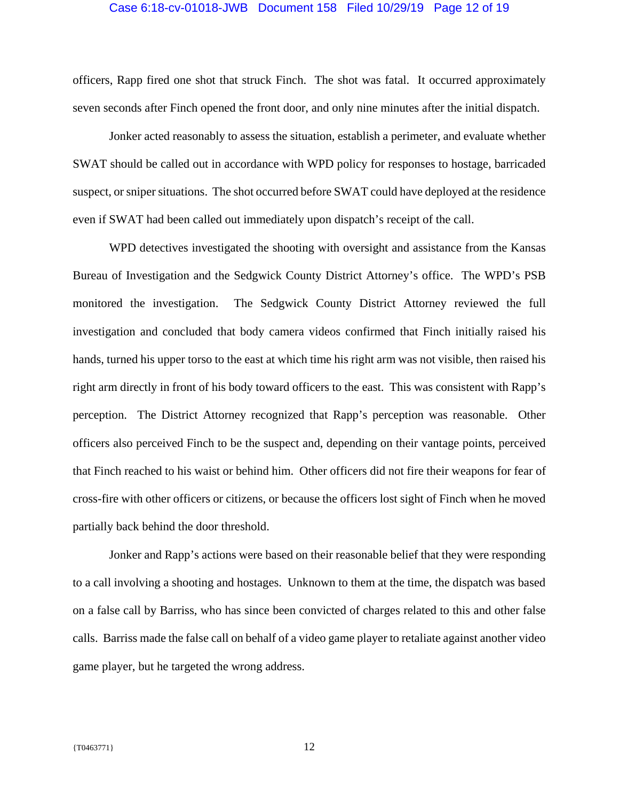#### Case 6:18-cv-01018-JWB Document 158 Filed 10/29/19 Page 12 of 19

officers, Rapp fired one shot that struck Finch. The shot was fatal. It occurred approximately seven seconds after Finch opened the front door, and only nine minutes after the initial dispatch.

 Jonker acted reasonably to assess the situation, establish a perimeter, and evaluate whether SWAT should be called out in accordance with WPD policy for responses to hostage, barricaded suspect, or sniper situations. The shot occurred before SWAT could have deployed at the residence even if SWAT had been called out immediately upon dispatch's receipt of the call.

 WPD detectives investigated the shooting with oversight and assistance from the Kansas Bureau of Investigation and the Sedgwick County District Attorney's office. The WPD's PSB monitored the investigation. The Sedgwick County District Attorney reviewed the full investigation and concluded that body camera videos confirmed that Finch initially raised his hands, turned his upper torso to the east at which time his right arm was not visible, then raised his right arm directly in front of his body toward officers to the east. This was consistent with Rapp's perception. The District Attorney recognized that Rapp's perception was reasonable. Other officers also perceived Finch to be the suspect and, depending on their vantage points, perceived that Finch reached to his waist or behind him. Other officers did not fire their weapons for fear of cross-fire with other officers or citizens, or because the officers lost sight of Finch when he moved partially back behind the door threshold.

 Jonker and Rapp's actions were based on their reasonable belief that they were responding to a call involving a shooting and hostages. Unknown to them at the time, the dispatch was based on a false call by Barriss, who has since been convicted of charges related to this and other false calls. Barriss made the false call on behalf of a video game player to retaliate against another video game player, but he targeted the wrong address.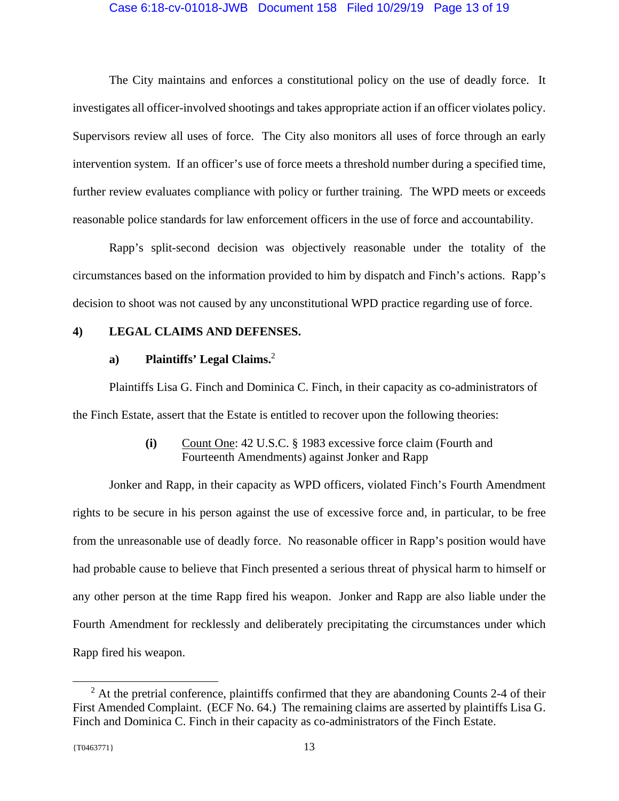### Case 6:18-cv-01018-JWB Document 158 Filed 10/29/19 Page 13 of 19

 The City maintains and enforces a constitutional policy on the use of deadly force. It investigates all officer-involved shootings and takes appropriate action if an officer violates policy. Supervisors review all uses of force. The City also monitors all uses of force through an early intervention system. If an officer's use of force meets a threshold number during a specified time, further review evaluates compliance with policy or further training. The WPD meets or exceeds reasonable police standards for law enforcement officers in the use of force and accountability.

 Rapp's split-second decision was objectively reasonable under the totality of the circumstances based on the information provided to him by dispatch and Finch's actions. Rapp's decision to shoot was not caused by any unconstitutional WPD practice regarding use of force.

### **4) LEGAL CLAIMS AND DEFENSES.**

### **a) Plaintiffs' Legal Claims.**<sup>2</sup>

 Plaintiffs Lisa G. Finch and Dominica C. Finch, in their capacity as co-administrators of the Finch Estate, assert that the Estate is entitled to recover upon the following theories:

## **(i)** Count One: 42 U.S.C. § 1983 excessive force claim (Fourth and Fourteenth Amendments) against Jonker and Rapp

 Jonker and Rapp, in their capacity as WPD officers, violated Finch's Fourth Amendment rights to be secure in his person against the use of excessive force and, in particular, to be free from the unreasonable use of deadly force. No reasonable officer in Rapp's position would have had probable cause to believe that Finch presented a serious threat of physical harm to himself or any other person at the time Rapp fired his weapon. Jonker and Rapp are also liable under the Fourth Amendment for recklessly and deliberately precipitating the circumstances under which Rapp fired his weapon.

l

 $2^2$  At the pretrial conference, plaintiffs confirmed that they are abandoning Counts 2-4 of their First Amended Complaint. (ECF No. 64.) The remaining claims are asserted by plaintiffs Lisa G. Finch and Dominica C. Finch in their capacity as co-administrators of the Finch Estate.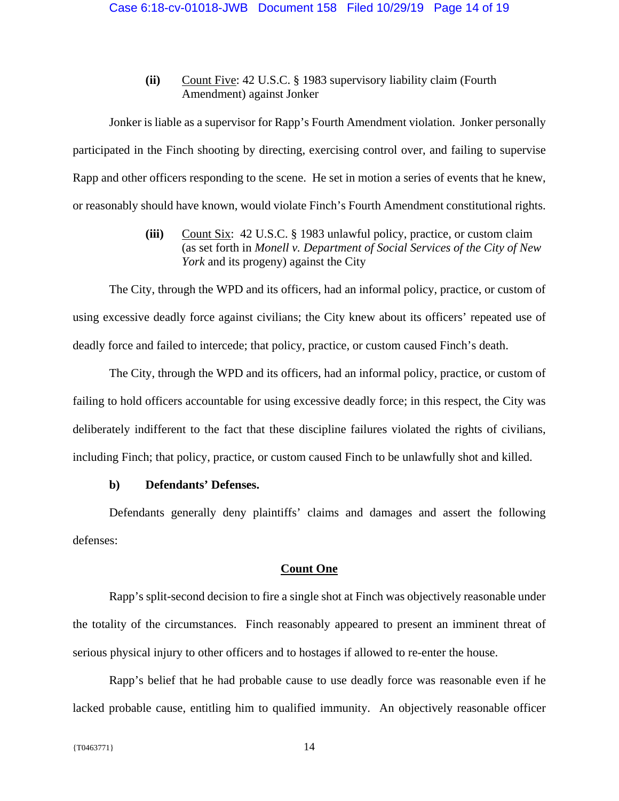**(ii)** Count Five: 42 U.S.C. § 1983 supervisory liability claim (Fourth Amendment) against Jonker

 Jonker is liable as a supervisor for Rapp's Fourth Amendment violation. Jonker personally participated in the Finch shooting by directing, exercising control over, and failing to supervise Rapp and other officers responding to the scene. He set in motion a series of events that he knew, or reasonably should have known, would violate Finch's Fourth Amendment constitutional rights.

> **(iii)** Count Six: 42 U.S.C. § 1983 unlawful policy, practice, or custom claim (as set forth in *Monell v. Department of Social Services of the City of New York* and its progeny) against the City

 The City, through the WPD and its officers, had an informal policy, practice, or custom of using excessive deadly force against civilians; the City knew about its officers' repeated use of deadly force and failed to intercede; that policy, practice, or custom caused Finch's death.

 The City, through the WPD and its officers, had an informal policy, practice, or custom of failing to hold officers accountable for using excessive deadly force; in this respect, the City was deliberately indifferent to the fact that these discipline failures violated the rights of civilians, including Finch; that policy, practice, or custom caused Finch to be unlawfully shot and killed.

# **b) Defendants' Defenses.**

Defendants generally deny plaintiffs' claims and damages and assert the following defenses:

### **Count One**

Rapp's split-second decision to fire a single shot at Finch was objectively reasonable under the totality of the circumstances. Finch reasonably appeared to present an imminent threat of serious physical injury to other officers and to hostages if allowed to re-enter the house.

Rapp's belief that he had probable cause to use deadly force was reasonable even if he lacked probable cause, entitling him to qualified immunity. An objectively reasonable officer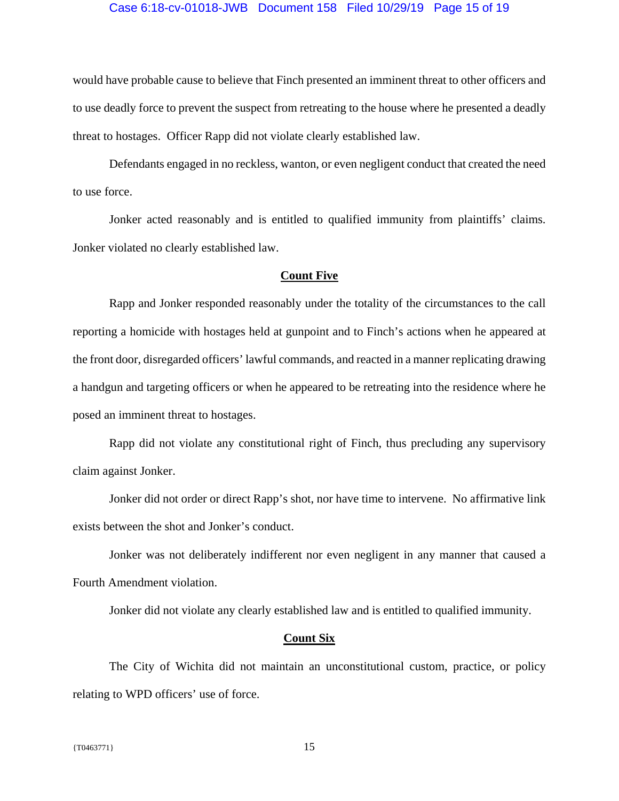### Case 6:18-cv-01018-JWB Document 158 Filed 10/29/19 Page 15 of 19

would have probable cause to believe that Finch presented an imminent threat to other officers and to use deadly force to prevent the suspect from retreating to the house where he presented a deadly threat to hostages. Officer Rapp did not violate clearly established law.

Defendants engaged in no reckless, wanton, or even negligent conduct that created the need to use force.

Jonker acted reasonably and is entitled to qualified immunity from plaintiffs' claims. Jonker violated no clearly established law.

### **Count Five**

Rapp and Jonker responded reasonably under the totality of the circumstances to the call reporting a homicide with hostages held at gunpoint and to Finch's actions when he appeared at the front door, disregarded officers' lawful commands, and reacted in a manner replicating drawing a handgun and targeting officers or when he appeared to be retreating into the residence where he posed an imminent threat to hostages.

Rapp did not violate any constitutional right of Finch, thus precluding any supervisory claim against Jonker.

Jonker did not order or direct Rapp's shot, nor have time to intervene. No affirmative link exists between the shot and Jonker's conduct.

Jonker was not deliberately indifferent nor even negligent in any manner that caused a Fourth Amendment violation.

Jonker did not violate any clearly established law and is entitled to qualified immunity.

#### **Count Six**

The City of Wichita did not maintain an unconstitutional custom, practice, or policy relating to WPD officers' use of force.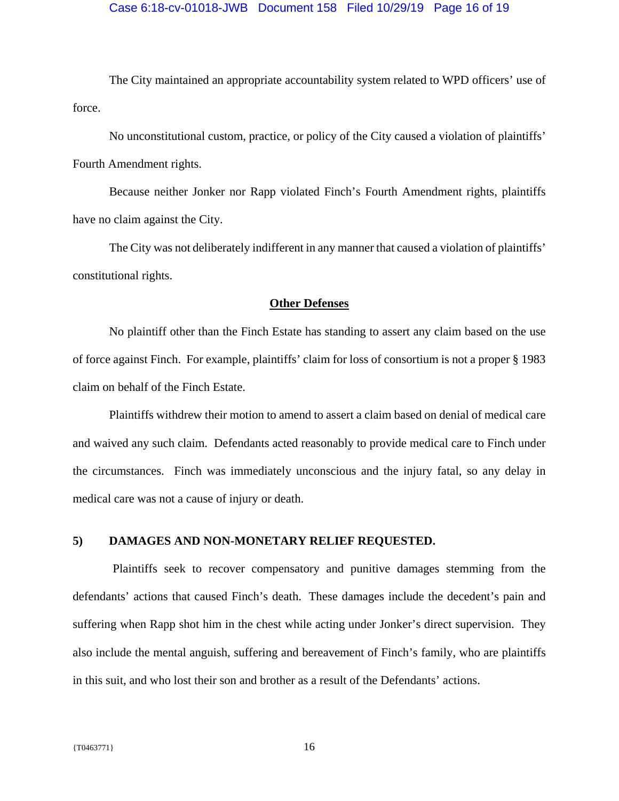### Case 6:18-cv-01018-JWB Document 158 Filed 10/29/19 Page 16 of 19

The City maintained an appropriate accountability system related to WPD officers' use of force.

No unconstitutional custom, practice, or policy of the City caused a violation of plaintiffs' Fourth Amendment rights.

Because neither Jonker nor Rapp violated Finch's Fourth Amendment rights, plaintiffs have no claim against the City.

The City was not deliberately indifferent in any manner that caused a violation of plaintiffs' constitutional rights.

### **Other Defenses**

No plaintiff other than the Finch Estate has standing to assert any claim based on the use of force against Finch. For example, plaintiffs' claim for loss of consortium is not a proper § 1983 claim on behalf of the Finch Estate.

Plaintiffs withdrew their motion to amend to assert a claim based on denial of medical care and waived any such claim. Defendants acted reasonably to provide medical care to Finch under the circumstances. Finch was immediately unconscious and the injury fatal, so any delay in medical care was not a cause of injury or death.

### **5) DAMAGES AND NON-MONETARY RELIEF REQUESTED.**

 Plaintiffs seek to recover compensatory and punitive damages stemming from the defendants' actions that caused Finch's death. These damages include the decedent's pain and suffering when Rapp shot him in the chest while acting under Jonker's direct supervision. They also include the mental anguish, suffering and bereavement of Finch's family, who are plaintiffs in this suit, and who lost their son and brother as a result of the Defendants' actions.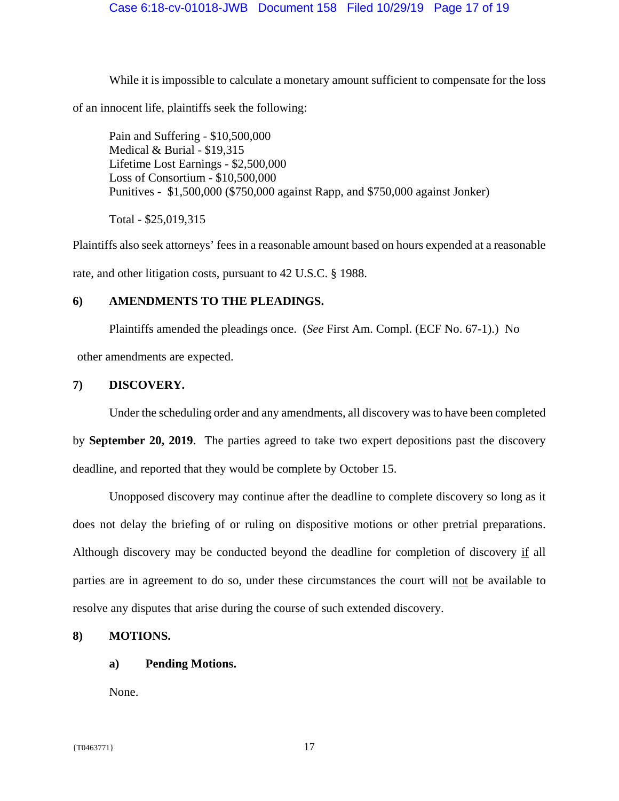While it is impossible to calculate a monetary amount sufficient to compensate for the loss of an innocent life, plaintiffs seek the following:

Pain and Suffering - \$10,500,000 Medical & Burial - \$19,315 Lifetime Lost Earnings - \$2,500,000 Loss of Consortium - \$10,500,000 Punitives - \$1,500,000 (\$750,000 against Rapp, and \$750,000 against Jonker)

Total - \$25,019,315

Plaintiffs also seek attorneys' fees in a reasonable amount based on hours expended at a reasonable rate, and other litigation costs, pursuant to 42 U.S.C. § 1988.

## **6) AMENDMENTS TO THE PLEADINGS.**

Plaintiffs amended the pleadings once. (*See* First Am. Compl. (ECF No. 67-1).) No

other amendments are expected.

### **7) DISCOVERY.**

Under the scheduling order and any amendments, all discovery was to have been completed

by **September 20, 2019**. The parties agreed to take two expert depositions past the discovery deadline, and reported that they would be complete by October 15.

Unopposed discovery may continue after the deadline to complete discovery so long as it does not delay the briefing of or ruling on dispositive motions or other pretrial preparations. Although discovery may be conducted beyond the deadline for completion of discovery if all parties are in agreement to do so, under these circumstances the court will not be available to resolve any disputes that arise during the course of such extended discovery.

# **8) MOTIONS.**

### **a) Pending Motions.**

None.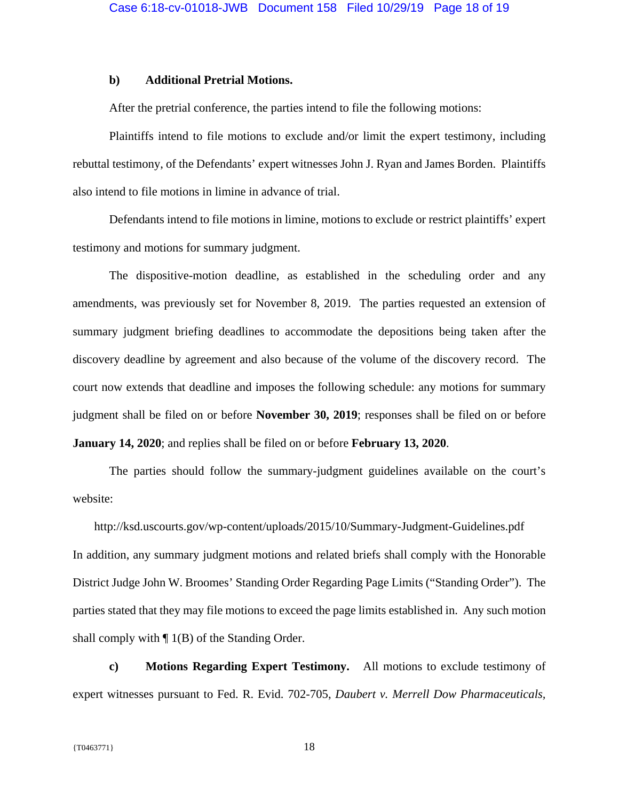### **b) Additional Pretrial Motions.**

After the pretrial conference, the parties intend to file the following motions:

 Plaintiffs intend to file motions to exclude and/or limit the expert testimony, including rebuttal testimony, of the Defendants' expert witnesses John J. Ryan and James Borden. Plaintiffs also intend to file motions in limine in advance of trial.

 Defendants intend to file motions in limine, motions to exclude or restrict plaintiffs' expert testimony and motions for summary judgment.

 The dispositive-motion deadline, as established in the scheduling order and any amendments, was previously set for November 8, 2019. The parties requested an extension of summary judgment briefing deadlines to accommodate the depositions being taken after the discovery deadline by agreement and also because of the volume of the discovery record. The court now extends that deadline and imposes the following schedule: any motions for summary judgment shall be filed on or before **November 30, 2019**; responses shall be filed on or before **January 14, 2020**; and replies shall be filed on or before **February 13, 2020**.

 The parties should follow the summary-judgment guidelines available on the court's website:

http://ksd.uscourts.gov/wp-content/uploads/2015/10/Summary-Judgment-Guidelines.pdf In addition, any summary judgment motions and related briefs shall comply with the Honorable District Judge John W. Broomes' Standing Order Regarding Page Limits ("Standing Order"). The parties stated that they may file motions to exceed the page limits established in. Any such motion shall comply with  $\P$  1(B) of the Standing Order.

**c) Motions Regarding Expert Testimony.** All motions to exclude testimony of expert witnesses pursuant to Fed. R. Evid. 702-705, *Daubert v. Merrell Dow Pharmaceuticals,*